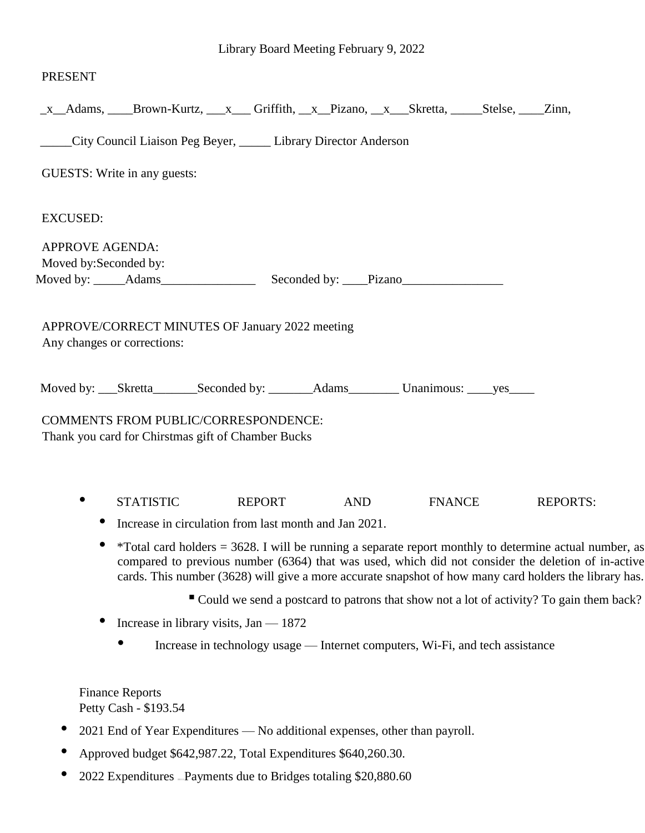### PRESENT

|                        |                              | _x__Adams, ____Brown-Kurtz, ___x___ Griffith, __x__Pizano, __x___Skretta, _____Stelse, ____Zinn,                                                                                                                                                                                                                         |     |               |                 |
|------------------------|------------------------------|--------------------------------------------------------------------------------------------------------------------------------------------------------------------------------------------------------------------------------------------------------------------------------------------------------------------------|-----|---------------|-----------------|
|                        |                              | City Council Liaison Peg Beyer, _____ Library Director Anderson                                                                                                                                                                                                                                                          |     |               |                 |
|                        | GUESTS: Write in any guests: |                                                                                                                                                                                                                                                                                                                          |     |               |                 |
| <b>EXCUSED:</b>        |                              |                                                                                                                                                                                                                                                                                                                          |     |               |                 |
| <b>APPROVE AGENDA:</b> |                              |                                                                                                                                                                                                                                                                                                                          |     |               |                 |
| Moved by: Seconded by: |                              |                                                                                                                                                                                                                                                                                                                          |     |               |                 |
|                        | Any changes or corrections:  | APPROVE/CORRECT MINUTES OF January 2022 meeting                                                                                                                                                                                                                                                                          |     |               |                 |
|                        |                              | Moved by: _____Skretta__________Seconded by: _________Adams____________Unanimous: _____yes______                                                                                                                                                                                                                         |     |               |                 |
|                        |                              | <b>COMMENTS FROM PUBLIC/CORRESPONDENCE:</b><br>Thank you card for Chirstmas gift of Chamber Bucks                                                                                                                                                                                                                        |     |               |                 |
|                        | <b>STATISTIC</b>             | <b>REPORT</b>                                                                                                                                                                                                                                                                                                            | AND | <b>FNANCE</b> | <b>REPORTS:</b> |
|                        |                              | Increase in circulation from last month and Jan 2021.                                                                                                                                                                                                                                                                    |     |               |                 |
|                        |                              | *Total card holders $=$ 3628. I will be running a separate report monthly to determine actual number, as<br>compared to previous number (6364) that was used, which did not consider the deletion of in-active<br>cards. This number (3628) will give a more accurate snapshot of how many card holders the library has. |     |               |                 |
|                        |                              | " Could we send a postcard to patrons that show not a lot of activity? To gain them back?                                                                                                                                                                                                                                |     |               |                 |
|                        |                              | Increase in library visits, $Jan - 1872$                                                                                                                                                                                                                                                                                 |     |               |                 |
|                        |                              | Increase in technology usage — Internet computers, Wi-Fi, and tech assistance                                                                                                                                                                                                                                            |     |               |                 |
|                        |                              |                                                                                                                                                                                                                                                                                                                          |     |               |                 |

Finance Reports Petty Cash - \$193.54

- 2021 End of Year Expenditures No additional expenses, other than payroll.
- Approved budget \$642,987.22, Total Expenditures \$640,260.30.
- 2022 Expenditures Payments due to Bridges totaling \$20,880.60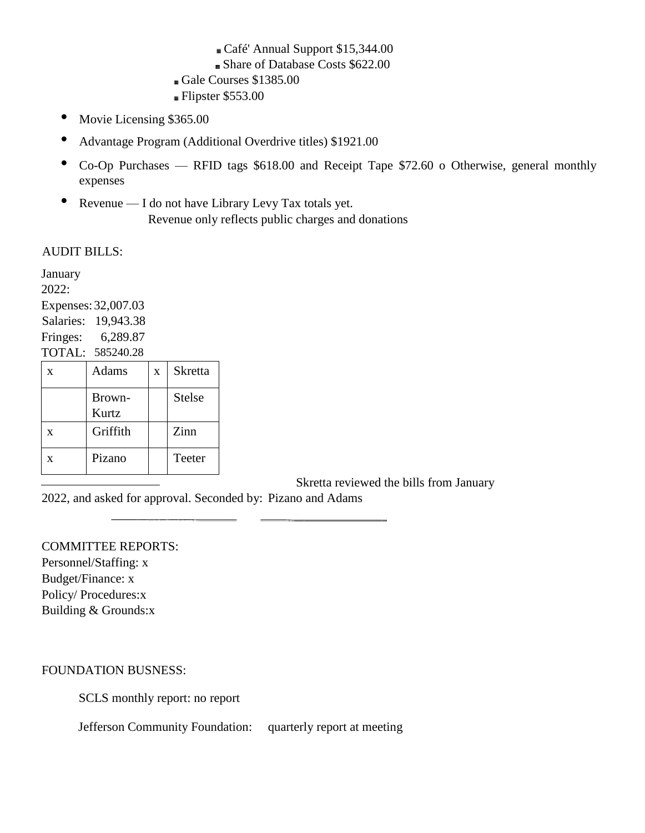# Café' Annual Support \$15,344.00

- Share of Database Costs \$622.00
- Gale Courses \$1385.00
- Flipster \$553.00
- Movie Licensing \$365.00
- Advantage Program (Additional Overdrive titles) \$1921.00
- Co-Op Purchases RFID tags \$618.00 and Receipt Tape \$72.60 o Otherwise, general monthly expenses
- Revenue I do not have Library Levy Tax totals yet. Revenue only reflects public charges and donations

### AUDIT BILLS:

January 2022: Expenses: 32,007.03 Salaries: 19,943.38 Fringes: 6,289.87 TOTAL: 585240.28  $x$  Adams  $x$  Skretta Brown-Kurtz Stelse  $x$  Griffith Zinn x Pizano Teeter

Skretta reviewed the bills from January

2022, and asked for approval. Seconded by: Pizano and Adams

COMMITTEE REPORTS: Personnel/Staffing: x Budget/Finance: x Policy/ Procedures:x Building & Grounds:x

FOUNDATION BUSNESS:

SCLS monthly report: no report

Jefferson Community Foundation: quarterly report at meeting